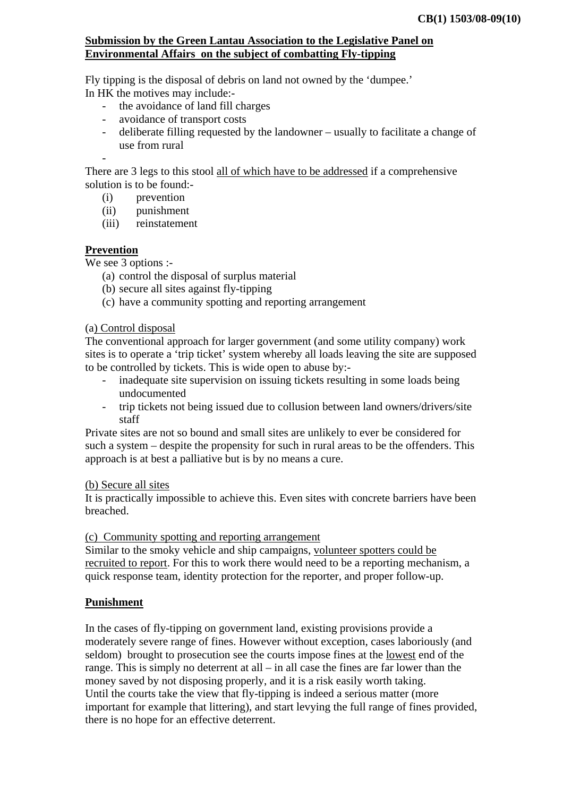### **Submission by the Green Lantau Association to the Legislative Panel on Environmental Affairs on the subject of combatting Fly-tipping**

Fly tipping is the disposal of debris on land not owned by the 'dumpee.' In HK the motives may include:-

- the avoidance of land fill charges
- avoidance of transport costs
- deliberate filling requested by the landowner usually to facilitate a change of use from rural

There are 3 legs to this stool all of which have to be addressed if a comprehensive solution is to be found:-

- (i) prevention
- (ii) punishment
- (iii) reinstatement

## **Prevention**

-

We see 3 options :-

- (a) control the disposal of surplus material
- (b) secure all sites against fly-tipping
- (c) have a community spotting and reporting arrangement

#### (a) Control disposal

The conventional approach for larger government (and some utility company) work sites is to operate a 'trip ticket' system whereby all loads leaving the site are supposed to be controlled by tickets. This is wide open to abuse by:-

- inadequate site supervision on issuing tickets resulting in some loads being undocumented
- trip tickets not being issued due to collusion between land owners/drivers/site staff

Private sites are not so bound and small sites are unlikely to ever be considered for such a system – despite the propensity for such in rural areas to be the offenders. This approach is at best a palliative but is by no means a cure.

#### (b) Secure all sites

It is practically impossible to achieve this. Even sites with concrete barriers have been breached.

(c) Community spotting and reporting arrangement

Similar to the smoky vehicle and ship campaigns, volunteer spotters could be recruited to report. For this to work there would need to be a reporting mechanism, a quick response team, identity protection for the reporter, and proper follow-up.

#### **Punishment**

In the cases of fly-tipping on government land, existing provisions provide a moderately severe range of fines. However without exception, cases laboriously (and seldom) brought to prosecution see the courts impose fines at the lowest end of the range. This is simply no deterrent at all – in all case the fines are far lower than the money saved by not disposing properly, and it is a risk easily worth taking. Until the courts take the view that fly-tipping is indeed a serious matter (more important for example that littering), and start levying the full range of fines provided, there is no hope for an effective deterrent.